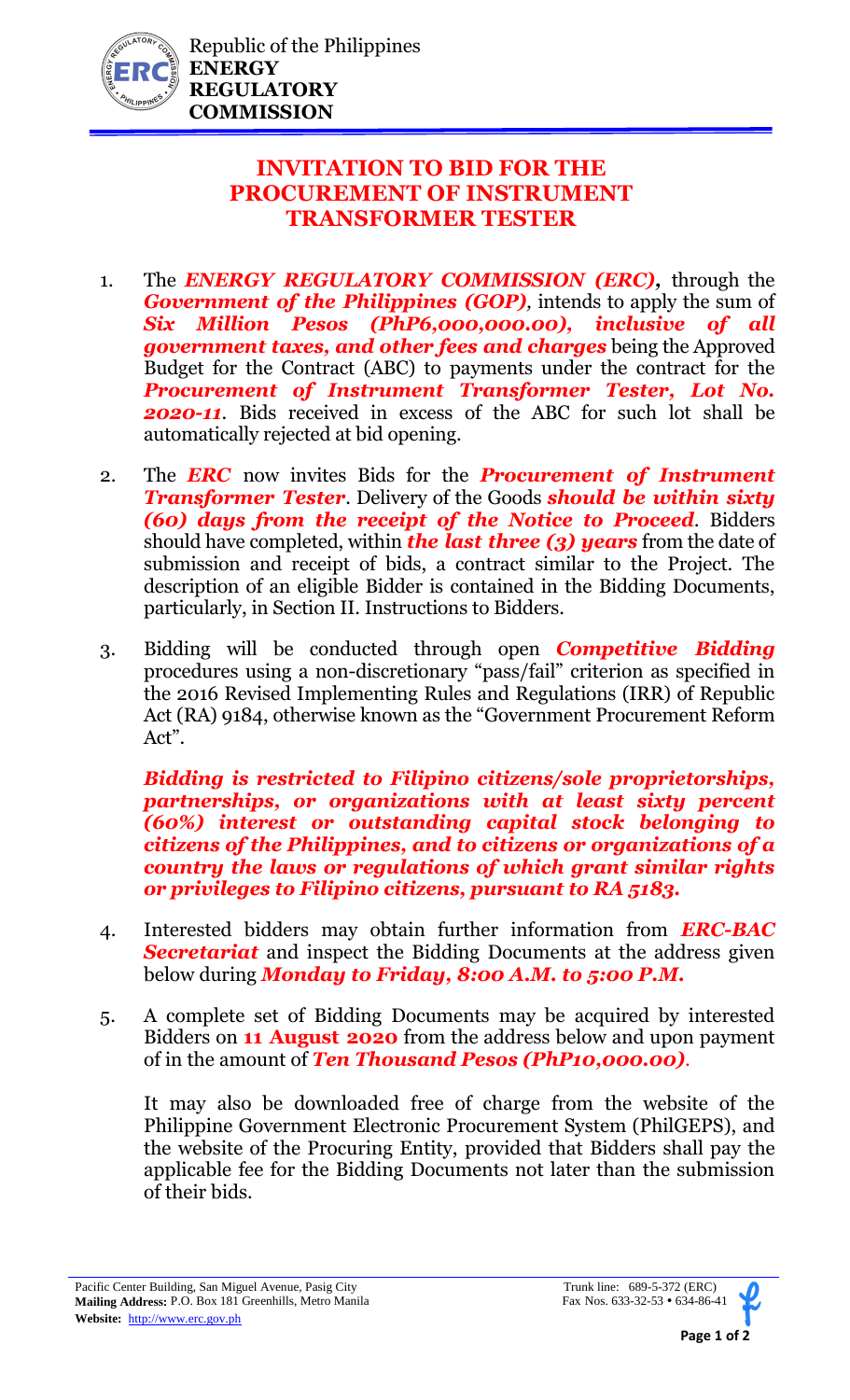

## **INVITATION TO BID FOR THE PROCUREMENT OF INSTRUMENT TRANSFORMER TESTER**

- 1. The *ENERGY REGULATORY COMMISSION (ERC),* through the *Government of the Philippines (GOP)*, intends to apply the sum of *Six Million Pesos (PhP6,000,000.00), inclusive of all government taxes, and other fees and charges* being the Approved Budget for the Contract (ABC) to payments under the contract for the *Procurement of Instrument Transformer Tester, Lot No. 2020-11*. Bids received in excess of the ABC for such lot shall be automatically rejected at bid opening.
- 2. The *ERC* now invites Bids for the *Procurement of Instrument Transformer Tester*. Delivery of the Goods *should be within sixty (60) days from the receipt of the Notice to Proceed.* Bidders should have completed, within *the last three (3) years* from the date of submission and receipt of bids, a contract similar to the Project. The description of an eligible Bidder is contained in the Bidding Documents, particularly, in Section II. Instructions to Bidders.
- 3. Bidding will be conducted through open *Competitive Bidding* procedures using a non-discretionary "pass/fail" criterion as specified in the 2016 Revised Implementing Rules and Regulations (IRR) of Republic Act (RA) 9184, otherwise known as the "Government Procurement Reform Act".

*Bidding is restricted to Filipino citizens/sole proprietorships, partnerships, or organizations with at least sixty percent (60%) interest or outstanding capital stock belonging to citizens of the Philippines, and to citizens or organizations of a country the laws or regulations of which grant similar rights or privileges to Filipino citizens, pursuant to RA 5183.* 

- 4. Interested bidders may obtain further information from *ERC-BAC Secretariat* and inspect the Bidding Documents at the address given below during *Monday to Friday, 8:00 A.M. to 5:00 P.M.*
- 5. A complete set of Bidding Documents may be acquired by interested Bidders on **11 August 2020** from the address below and upon payment of in the amount of *Ten Thousand Pesos (PhP10,000.00).*

It may also be downloaded free of charge from the website of the Philippine Government Electronic Procurement System (PhilGEPS), and the website of the Procuring Entity, provided that Bidders shall pay the applicable fee for the Bidding Documents not later than the submission of their bids.